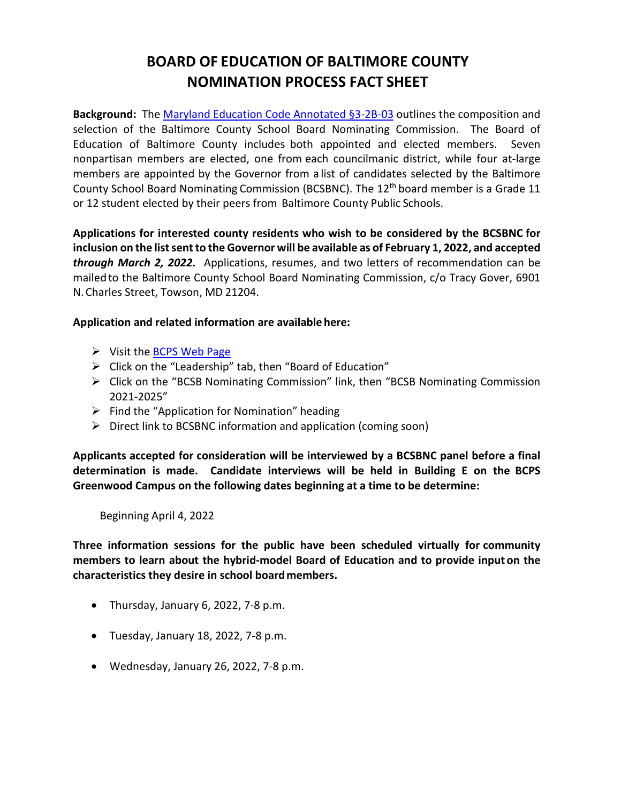## **BOARD OF EDUCATION OF BALTIMORE COUNTY NOMINATION PROCESS FACT SHEET**

**Background:** Th[e Maryland Education Code Annotated §3-2B-03](https://casetext.com/statute/code-of-maryland/article-education/division-ii-elementary-and-secondary-education/title-3-establishment-of-county-boards-of-education/subtitle-2b-baltimore-county/section-3-2b-03-baltimore-county-school-board-nominating-commission) outlines the composition and selection of the Baltimore County School Board Nominating Commission. The Board of Education of Baltimore County includes both appointed and elected members. Seven nonpartisan members are elected, one from each councilmanic district, while four at-large members are appointed by the Governor from a list of candidates selected by the Baltimore County School Board Nominating Commission (BCSBNC). The 12th board member is a Grade 11 or 12 student elected by their peers from Baltimore County Public Schools.

**Applications for interested county residents who wish to be considered by the BCSBNC for inclusion on the list sent to the Governor will be available as of February 1, 2022, and accepted**  *through March 2, 2022.* Applications, resumes, and two letters of recommendation can be mailedto the Baltimore County School Board Nominating Commission, c/o Tracy Gover, [6901](https://maps.google.com/?q=6901%2BN.%2BCharles%2BStreet%2C%2BTowson%2C%2BMD%2B21204&entry=gmail&source=g)  [N.Charles](https://maps.google.com/?q=6901%2BN.%2BCharles%2BStreet%2C%2BTowson%2C%2BMD%2B21204&entry=gmail&source=g) [Street, Towson, MD](https://maps.google.com/?q=6901%2BN.%2BCharles%2BStreet%2C%2BTowson%2C%2BMD%2B21204&entry=gmail&source=g) 21204.

## **Application and related information are availablehere:**

- $\triangleright$  Visit th[e BCPS Web Page](https://www.bcps.org/)
- $\triangleright$  Click on the "Leadership" tab, then "Board of Education"
- $\triangleright$  Click on the "BCSB Nominating Commission" link, then "BCSB Nominating Commission 2021-2025"
- $\triangleright$  Find the "Application for Nomination" heading
- $\triangleright$  Direct link to BCSBNC information and application (coming soon)

**Applicants accepted for consideration will be interviewed by a BCSBNC panel before a final determination is made. Candidate interviews will be held in Building E on the BCPS Greenwood Campus on the following dates beginning at a time to be determine:**

Beginning April 4, 2022

**Three information sessions for the public have been scheduled virtually for community members to learn about the hybrid-model Board of Education and to provide inputon the characteristics they desire in school boardmembers.**

- Thursday, January 6, 2022, 7-8 p.m.
- Tuesday, January 18, 2022, 7-8 p.m.
- Wednesday, January 26, 2022, 7-8 p.m.